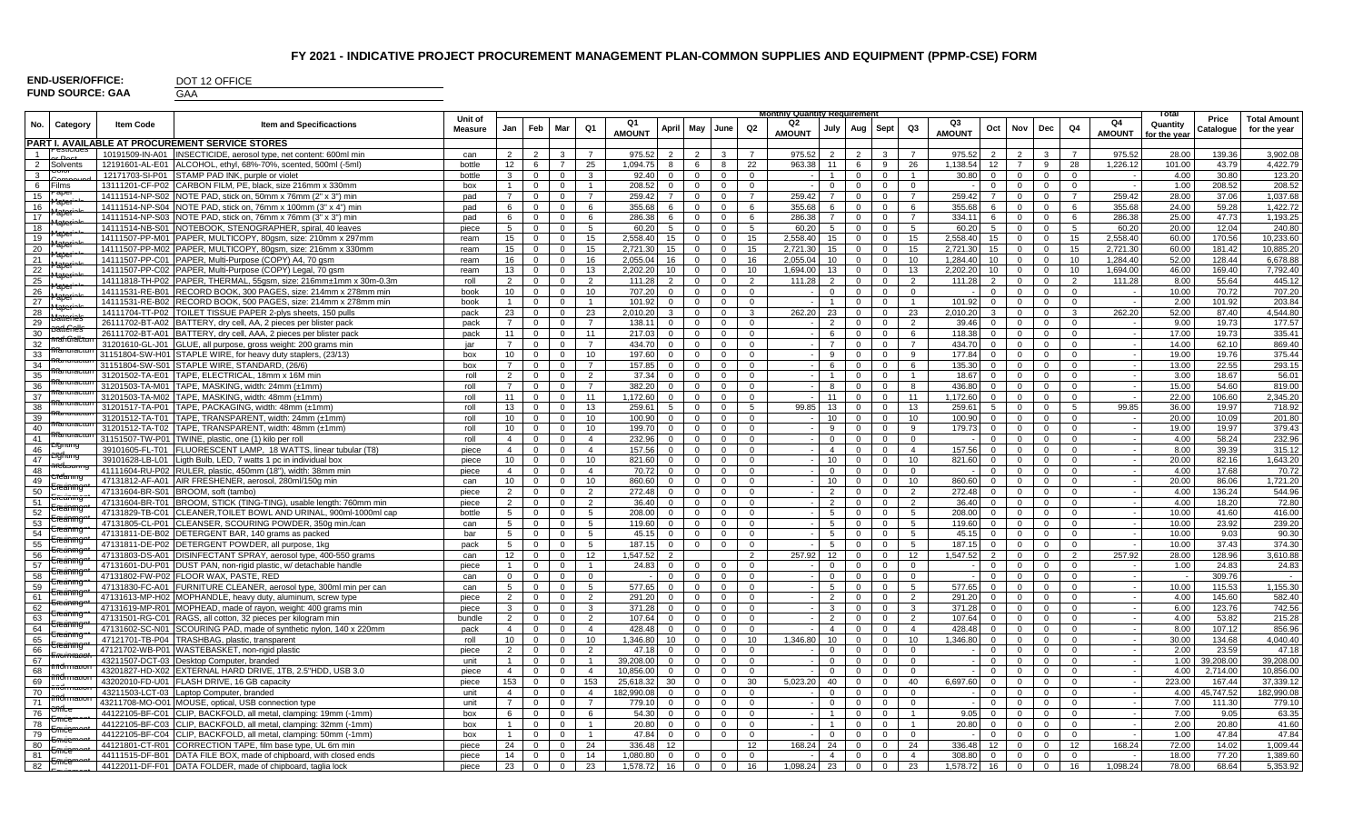## **FY 2021 - INDICATIVE PROJECT PROCUREMENT MANAGEMENT PLAN-COMMON SUPPLIES AND EQUIPMENT (PPMP-CSE) FORM**

| <b>END-USER/OFFICE:</b> |  |
|-------------------------|--|
| <b>FUND SOURCE: GAA</b> |  |

DOT 12 OFFICE

GAA

|                |                                      |                  |                                                                                                                                        | Unit of        |                      |                     |                                |                      |                    |                                       |                |                   |                      | Monthly Quantity Requirement |                     |                |                   |                      |                    |                            |                                     |                                  |                          | Total        | Price     | <b>Total Amount</b>  |
|----------------|--------------------------------------|------------------|----------------------------------------------------------------------------------------------------------------------------------------|----------------|----------------------|---------------------|--------------------------------|----------------------|--------------------|---------------------------------------|----------------|-------------------|----------------------|------------------------------|---------------------|----------------|-------------------|----------------------|--------------------|----------------------------|-------------------------------------|----------------------------------|--------------------------|--------------|-----------|----------------------|
| No.            | Category                             | <b>Item Code</b> | Item and Specificactions                                                                                                               | <b>Measure</b> | Jan                  | Feb                 | Mar                            | Q1                   |                    | April May                             |                | June              | Q2                   | Q2                           | July                | Aug Sept       |                   | Q3                   | Ο3                 | Oct                        | Dec<br>Nov                          | Q4                               | Q4                       | Quantity     | Catalogue | for the year         |
|                |                                      |                  | <b>PART I. AVAILABLE AT PROCUREMENT SERVICE STORES</b>                                                                                 |                |                      |                     |                                |                      | <b>AMOUNT</b>      |                                       |                |                   |                      | <b>AMOUNT</b>                |                     |                |                   |                      | <b>AMOUNT</b>      |                            |                                     |                                  | <b>AMOUNT</b>            | for the vear |           |                      |
| $\overline{1}$ | esiiciot                             |                  |                                                                                                                                        |                |                      |                     |                                |                      |                    |                                       |                |                   |                      |                              |                     |                |                   |                      |                    |                            |                                     |                                  |                          | 28.00        | 139.36    |                      |
|                | $\sim$ Deal<br>2 Solvents            |                  | 10191509-IN-A01  INSECTICIDE, aerosol type, net content: 600ml min<br>12191601-AL-E01   ALCOHOL. ethyl. 68%-70%, scented, 500ml (-5ml) | can            | $\overline{2}$<br>12 | $\overline{2}$<br>6 | $\mathbf{3}$<br>$\overline{7}$ | $\overline{7}$<br>25 | 975.52<br>1.094.75 | $2^{\circ}$<br>6                      | 2              | $\mathbf{3}$<br>8 | $\overline{7}$<br>22 | 975.52<br>963.38             | 2<br>11             | 2<br>6         | $\mathbf{3}$<br>9 | $\overline{7}$<br>26 | 975.52<br>1.138.54 | $\overline{2}$<br>12       | 2<br>$\mathbf{3}$<br>$\overline{7}$ | $\overline{7}$<br>9<br>28        | 975.52<br>1.226.12       | 101.00       | 43.79     | 3,902.08<br>4.422.79 |
| $\mathbf{3}$   | UUIUI                                |                  |                                                                                                                                        | bottle         | $\mathbf{3}$         |                     | $\mathbf{0}$                   | $\mathbf{3}$         | 92.40              | 8<br>$\overline{0}$<br>$\overline{0}$ |                |                   | $\Omega$             | $\sim$ 1                     | $\overline{1}$      | $\mathbf{0}$   | $\overline{0}$    | $\overline{1}$       | 30.80              |                            | $\mathbf{0}$                        | $\overline{0}$<br>$\overline{0}$ |                          | 4.00         | 30.80     |                      |
|                |                                      |                  | 12171703-SI-P01 STAMP PAD INK, purple or violet                                                                                        | bottle         |                      | $\mathbf{0}$        |                                |                      |                    |                                       |                | $\overline{0}$    |                      |                              |                     |                |                   | $\Omega$             |                    | $\mathbf{0}$               |                                     | $\Omega$                         |                          |              |           | 123.20               |
|                | 6 Films                              |                  | 13111201-CF-P02 CARBON FILM, PE, black, size 216mm x 330mm                                                                             | box            | $\overline{1}$       | $\mathbf{0}$        | $\mathbf{0}$                   | $\overline{1}$       | 208.52             | $\overline{0}$                        | $\mathbf{0}$   | $\overline{0}$    | $\Omega$             | $\sim$                       | $\Omega$            | $\overline{0}$ | $\Omega$          |                      |                    | $\Omega$<br>$\overline{7}$ | $\Omega$                            | $\mathbf{0}$                     | $\sim$ $-$               | 1.00         | 208.52    | 208.52<br>1,037.68   |
|                | $\overline{15}$ Maper                |                  | 14111514-NP-S02 NOTE PAD, stick on, 50mm x 76mm (2" x 3") min                                                                          | pad            | $7\overline{ }$      | $\mathbf 0$         | $\mathbf{0}$                   | $\overline{7}$       | 259.42             | $7^{\circ}$<br>$\mathbf 0$            |                | $\mathbf 0$       | $\overline{7}$       | 259.42                       | $\overline{7}$      | $\mathbf{0}$   | $\mathbf 0$       | $\overline{7}$       | 259.42             |                            | $\mathbf{0}$                        | $\mathbf{0}$<br>$\overline{7}$   | 259.42                   | 28.00        | 37.06     |                      |
| 16             | + <sup>2</sup> aber                  |                  | 14111514-NP-S04 NOTE PAD, stick on, 76mm x 100mm (3" x 4") min                                                                         | pad            | 6                    | $\mathbf 0$         | $\Omega$                       | 6                    | 355.68             | 6<br>$\overline{0}$                   |                | $\mathbf 0$       | 6                    | 355.68                       | 6<br>$\overline{7}$ | $\mathbf 0$    | $\mathbf 0$       | 6                    | 355.68             |                            | $\mathbf{0}$                        | $\mathbf 0$<br>6                 | 355.68                   | 24.00        | 59.28     | 1,422.72             |
| 17             | <b>Pater</b>                         |                  | 14111514-NP-S03 NOTE PAD, stick on, 76mm x 76mm (3" x 3") min                                                                          | pad            | 6                    | $\mathbf{0}$        | $\mathbf{0}$                   | 6                    | 286.38             | 6<br>$\overline{0}$                   |                | $\mathbf{0}$      | 6                    | 286.38                       |                     | $\mathbf{0}$   | $\overline{0}$    | $\overline{7}$       | 334.11             | $\epsilon$                 | $\mathbf{0}$                        | $\mathbf 0$<br>6                 | 286.38                   | 25.00        | 47.73     | 1,193.25             |
| 18             | <b>Paper</b>                         |                  | 14111514-NB-S01 NOTEBOOK, STENOGRAPHER, spiral, 40 leaves                                                                              | piece          | 5 <sup>5</sup>       | $\mathbf{0}$        | $\mathbf 0$                    | 5                    | 60.20              | 5 <sub>5</sub><br>$\mathbf 0$         |                | $\mathbf{0}$      | -5                   | 60.20                        | 5 <sup>5</sup>      | $\overline{0}$ | $\mathbf{0}$      | $5^{\circ}$          | 60.20              | 5 <sup>5</sup>             | $\mathbf{0}$                        | $\mathbf{0}$<br>5                | 60.20                    | 20.00        | 12.04     | 240.80               |
|                | $\frac{19}{2}$ Maper                 |                  | 14111507-PP-M01   PAPER, MULTICOPY, 80gsm, size: 210mm x 297mm                                                                         | ream           | 15                   | $\overline{0}$      | $\mathbf{0}$                   | 15                   | 2.558.40           | 15<br>$\overline{0}$                  |                | $\overline{0}$    | 15                   | 2.558.40                     | 15                  | $\overline{0}$ | $\overline{0}$    | 15                   | 2.558.40           | 15                         | $\overline{0}$                      | $\mathbf{0}$<br>15               | 2,558.40                 | 60.00        | 170.56    | 10,233.60            |
| 20             | Paper                                |                  | 14111507-PP-M02 PAPER, MULTICOPY, 80gsm, size: 216mm x 330mm                                                                           | ream           | 15                   | $\mathbf 0$         | $\mathbf{0}$                   | 15                   | 2,721.30           | 15                                    | $\mathbf{0}$   | $\mathbf{0}$      | 15                   | 2,721.30                     | 15                  | $\overline{0}$ | $\mathbf 0$       | 15                   | 2,721.30           | 15                         | $\mathbf{0}$                        | $\mathbf 0$<br>15                | 2,721.30                 | 60.00        | 181.42    | 10,885.20            |
| 21             | <b>Matering</b>                      |                  | 14111507-PP-C01 PAPER, Multi-Purpose (COPY) A4, 70 gsm                                                                                 | ream           | 16                   | $\mathbf{0}$        | $\mathbf{0}$                   | 16                   | 2.055.04           | 16<br>$\overline{0}$                  |                | $\overline{0}$    | 16                   | 2.055.04                     | 10                  | $\mathbf{0}$   | $\overline{0}$    | 10                   | 1.284.40           | 10 <sup>1</sup>            | $\mathbf{0}$                        | $\mathbf{0}$<br>10               | 1.284.40                 | 52.00        | 128.44    | 6.678.88             |
| 22             | <b>Pater</b>                         |                  | 14111507-PP-C02 PAPER, Multi-Purpose (COPY) Legal, 70 gsm                                                                              | ream           | 13                   | $\mathbf{0}$        | $\overline{0}$                 | 13                   | 2.202.20           | 10                                    | $\mathbf{0}$   | $\mathbf{0}$      | 10                   | 1.694.00                     | 13                  | $\overline{0}$ | $\mathbf{0}$      | 13                   | 2.202.20           | 10 <sup>1</sup>            | $\Omega$                            | $\mathbf{0}$<br>10               | 1.694.00                 | 46.00        | 169.40    | 7,792.40             |
| 25             | <b>Maper</b>                         |                  | 14111818-TH-P02 PAPER. THERMAL. 55gsm. size: 216mm±1mm x 30m-0.3m                                                                      | roll           | 2                    | $\mathbf{0}$        | $\mathbf{0}$                   | 2                    | 111.28             | 2<br>$\overline{0}$                   |                | $\mathbf{0}$      | 2                    | 111.28                       | 2                   | $\mathbf{0}$   | $\overline{0}$    | 2                    | 111.28             | 2                          | $\mathbf{0}$                        | 2<br>$\mathbf{0}$                | 111.28                   | 8.00         | 55.64     | 445.12               |
| 26             | Paper                                |                  | 14111531-RE-B01 RECORD BOOK, 300 PAGES, size: 214mm x 278mm min                                                                        | book           | 10 <sup>1</sup>      | $\mathbf{0}$        | $\mathbf 0$                    | 10                   | 707.20             | $\overline{0}$<br>$\overline{0}$      |                | $\overline{0}$    | $\mathbf{0}$         |                              | $\mathbf{0}$        | $\mathbf{0}$   | $\mathbf{0}$      | $\mathbf{0}$         |                    | $\mathbf{0}$               | $\mathbf{0}$                        | $\mathbf{0}$<br>$\mathbf{0}$     |                          | 10.00        | 70.72     | 707.20               |
| 27             | aper*                                |                  | 14111531-RE-B02 RECORD BOOK, 500 PAGES, size: 214mm x 278mm min                                                                        | book           | $\overline{1}$       | $\mathbf 0$         | $\mathbf 0$                    | $\overline{1}$       | 101.92             | $\overline{0}$<br>$\mathbf 0$         |                | $\mathbf{0}$      | $\mathbf{0}$         | $\sim$                       | $\overline{1}$      | $\mathbf 0$    | $\mathbf 0$       | $\overline{1}$       | 101.92             | $\mathbf{0}$               | $\mathbf{0}$                        | $\mathbf 0$<br>$\mathbf{0}$      | $\sim$                   | 2.00         | 101.92    | 203.84               |
| 28             | <b>Baterie's</b>                     |                  | 14111704-TT-P02   TOILET TISSUE PAPER 2-plys sheets, 150 pulls                                                                         | pack           | 23                   | $\mathbf{0}$        | $\mathbf 0$                    | 23                   | 2.010.20           | $\mathbf{3}$<br>$\mathbf 0$           |                | $\mathbf 0$       | $\mathbf{3}$         | 262.20                       | 23                  | $\overline{0}$ | $\mathbf{0}$      | 23                   | 2.010.20           | 3                          | $\mathbf{0}$                        | $\mathbf{0}$<br>$\mathbf{3}$     | 262.20                   | 52.00        | 87.40     | 4.544.80             |
| 29             | <del>Batlenels</del>                 |                  | 26111702-BT-A02 BATTERY, dry cell, AA, 2 pieces per blister pack                                                                       | pack           | $\overline{7}$       | $\overline{0}$      | $\mathbf{0}$                   | $\overline{7}$       | 138.11             | $\overline{0}$<br>$\mathbf{0}$        |                | $\mathbf{0}$      | $\mathbf{0}$         |                              | 2                   | $\mathbf{0}$   | $\mathbf{0}$      | 2                    | 39.46              | $\mathbf{0}$               | $\mathbf{0}$                        | $\mathbf{0}$<br>$\overline{0}$   | $\sim$                   | 9.00         | 19.73     | 177.57               |
| 30             | <del>Mah Gralloru</del> n            |                  | 26111702-BT-A01 BATTERY, dry cell, AAA, 2 pieces per blister pack                                                                      | pack           | 11                   | $\overline{0}$      | $\Omega$                       | 11                   | 217.03             | $\overline{0}$<br>$\mathbf{0}$        |                | $\mathbf{0}$      | $\mathbf{0}$         |                              | 6                   | $\mathbf{0}$   | $\mathbf{0}$      | 6                    | 118.38             | $\Omega$                   | $\mathbf{0}$                        | $\mathbf{0}$<br>$\overline{0}$   | $\sim$                   | 17.00        | 19.73     | 335.41               |
| 32             | Мапонасто                            |                  | 31201610-GL-J01 GLUE, all purpose, gross weight: 200 grams min                                                                         | jar            | $7^{\circ}$          | $\mathbf{0}$        | $\mathbf 0$                    | $\overline{7}$       | 434.70             | $\mathbf{0}$<br>$\overline{0}$        |                | $\mathbf{0}$      | $\mathbf 0$          |                              | $\overline{7}$      | $\mathbf{0}$   | $\mathbf 0$       | $\overline{7}$       | 434.70             | $\Omega$                   | $\mathbf{0}$                        | $\mathbf 0$<br>$\overline{0}$    | $\sim$                   | 14.00        | 62.10     | 869.40               |
| 33             | <b>Manuracture</b>                   |                  | 31151804-SW-H01 STAPLE WIRE, for heavy duty staplers, (23/13)                                                                          | box            | 10 <sup>1</sup>      | $\mathbf{0}$        | $\Omega$                       | 10 <sup>1</sup>      | 197.60             | $\Omega$<br>$\overline{0}$            |                | $\mathbf{0}$      | $\Omega$             |                              | 9                   | $\Omega$       | $\mathbf{0}$      | 9                    | 177.84             | $\Omega$                   | $\Omega$                            | $\Omega$<br>$\Omega$             | $\sim$                   | 19.00        | 19.76     | 375.44               |
| 34             | <b>णितिगधात</b> प्राप                |                  | 31151804-SW-S01 STAPLE WIRE, STANDARD, (26/6)                                                                                          | box            | $\overline{7}$       | $\mathbf{0}$        | $\mathbf{0}$                   | $\overline{7}$       | 157.85             | $\mathbf{0}$<br>$\mathbf{0}$          |                | $\Omega$          | $\Omega$             |                              | 6                   | $\mathbf{0}$   | $\mathbf{0}$      | 6                    | 135.30             | $\mathbf{0}$               | $\mathbf{0}$                        | $\Omega$<br>$\overline{0}$       | $\sim$                   | 13.00        | 22.55     | 293.15               |
| 35             | iviamuractur                         |                  | 31201502-TA-E01   TAPE, ELECTRICAL, 18mm x 16M min                                                                                     | roll           | 2                    | $\mathbf{0}$        | $\mathbf{0}$                   | 2                    | 37.34              | $\mathbf{0}$<br>$\overline{0}$        |                | $\mathbf{0}$      | $\mathbf{0}$         |                              | $\overline{1}$      | $\mathbf{0}$   | $\mathbf{0}$      | $\overline{1}$       | 18.67              | $\Omega$                   | $\mathbf{0}$                        | $\mathbf{0}$<br>$\overline{0}$   |                          | 3.00         | 18.67     | 56.01                |
| 36             | Manuractur                           |                  | 31201503-TA-M01   TAPE, MASKING, width: 24mm (±1mm)                                                                                    | roll           | $\overline{7}$       | $\mathbf{0}$        | $\mathbf{0}$                   | $\overline{7}$       | 382.20             | $\overline{0}$<br>$\overline{0}$      |                | $\mathbf{0}$      | $\Omega$             |                              | 8                   | $\mathbf{0}$   | $\overline{0}$    | 8                    | 436.80             | $\Omega$                   | $\mathbf{0}$<br>$\Omega$            | $\Omega$                         | $\sim$                   | 15.00        | 54.60     | 819.00               |
| 37             | Manuraciu                            |                  | 31201503-TA-M02 TAPE, MASKING, width: 48mm (±1mm)                                                                                      | roll           | 11                   | $\mathbf{0}$        | $\mathbf 0$                    | 11                   | 1.172.60           | $\mathbf{0}$<br>$\mathbf 0$           |                | $\mathbf 0$       | $\mathbf{0}$         |                              | 11                  | $\mathbf{0}$   | $\mathbf 0$       | 11                   | 1,172.60           | $\mathbf 0$                | $\mathbf{0}$                        | $\mathbf{0}$<br>$\mathbf 0$      |                          | 22.00        | 106.60    | 2,345.20             |
| 38             |                                      |                  | 31201517-TA-P01   TAPE, PACKAGING, width: 48mm (±1mm)                                                                                  | roll           | 13                   | $\overline{0}$      | $\mathbf{0}$                   | 13                   | 259.61             | 5 <sub>5</sub><br>$\overline{0}$      |                | $\overline{0}$    | 5                    | 99.85                        | 13                  | $\overline{0}$ | $\overline{0}$    | 13                   | 259.61             | 5 <sup>5</sup>             | $\mathbf{0}$                        | $5\overline{5}$<br>$\mathbf 0$   | 99.85                    | 36.00        | 19.97     | 718.92               |
| 39             | vianuraciu                           |                  | 31201512-TA-T01 TAPE, TRANSPARENT, width: 24mm (±1mm)                                                                                  | roll           | 10 <sup>1</sup>      | $\mathbf{0}$        | $\Omega$                       | 10 <sup>1</sup>      | 100.90             | $\overline{0}$<br>$\mathbf{0}$        |                | $\mathbf{0}$      | $\mathbf{0}$         |                              | 10                  | $\mathbf{0}$   | $\mathbf{0}$      | 10                   | 100.90             | $\mathbf{0}$               | $\mathbf{0}$<br>$\Omega$            | $\mathbf{0}$                     | $\sim$                   | 20.00        | 10.09     | 201.80               |
| 40             | ivianuractu                          |                  | 31201512-TA-T02 TAPE, TRANSPARENT, width: 48mm (±1mm)                                                                                  | roll           | 10 <sup>1</sup>      | $\mathbf 0$         | $\mathbf 0$                    | 10 <sup>1</sup>      | 199.70             | $\overline{0}$<br>$\mathbf 0$         |                | $\mathbf 0$       | $\mathbf 0$          |                              | 9                   | $\mathbf 0$    | $\mathbf 0$       | 9                    | 179.73             | $\Omega$                   | $\mathbf{0}$<br>$\mathbf 0$         | $\overline{0}$                   |                          | 19.00        | 19.97     | 379.43               |
| 41             | <del>พิโสทนาสนาน</del>               |                  | 31151507-TW-P01 TWINE, plastic, one (1) kilo per roll                                                                                  | roll           | $\overline{4}$       | $\mathbf{0}$        | $\mathbf{0}$                   | $\overline{4}$       | 232.96             | $\overline{0}$<br>$\overline{0}$      |                | $\mathbf{0}$      | $\Omega$             |                              | $\Omega$            | $\mathbf{0}$   | $\mathbf{0}$      | $\Omega$             |                    | $\overline{0}$             | $\Omega$                            | $\mathbf{0}$<br>$\Omega$         | $\sim$                   | 4.00         | 58.24     | 232.96               |
| 46             | <b>Cignung</b>                       |                  | 39101605-FL-T01   FLUORESCENT LAMP, 18 WATTS, linear tubular (T8)                                                                      | piece          | $\overline{4}$       | $\mathbf{0}$        | $\mathbf{0}$                   | $\overline{4}$       | 157.56             | $\overline{0}$<br>$\overline{0}$      |                | $\Omega$          | $^{\circ}$           |                              | $\overline{4}$      | $\mathbf{0}$   | $\overline{0}$    | $\overline{4}$       | 157.56             | $\overline{0}$             | $\mathbf{0}$                        | $\overline{0}$<br>$\mathbf{0}$   | $\sim$                   | 8.00         | 39.39     | 315.12               |
| 47             | <b>Cigrium</b> c                     |                  | 39101628-LB-L01 Ligth Bulb, LED, 7 watts 1 pc in individual box                                                                        | piece          | 10 <sup>1</sup>      | $\overline{0}$      | $\overline{0}$                 | 10                   | 821.60             | $\overline{0}$<br>$\overline{0}$      |                | $\overline{0}$    | $\mathbf{0}$         |                              | 10                  | $\overline{0}$ | $\overline{0}$    | 10                   | 821.60             | $\mathbf{0}$               | $\mathbf{0}$                        | $\mathbf{0}$<br>$\overline{0}$   |                          | 20.00        | 82.16     | 1.643.20             |
| 48             | measum                               |                  | 41111604-RU-P02   RULER, plastic, 450mm (18"), width: 38mm min                                                                         | piece          | $\overline{4}$       | $\mathbf{0}$        | $\Omega$                       | $\overline{4}$       | 70.72              | $\Omega$<br>$\mathbf{0}$              |                | $\Omega$          | $\mathbf{0}$         |                              | $\Omega$            | $\Omega$       | $\mathbf{0}$      | $\Omega$             |                    | $\Omega$                   | $\Omega$                            | $\Omega$<br>$\Omega$             | $\sim$                   | 4.00         | 17.68     | 70.72                |
| 49             | Cieannu                              |                  | 47131812-AF-A01   AIR FRESHENER, aerosol, 280ml/150g min                                                                               | can            | 10 <sup>1</sup>      | $\mathbf 0$         | $\mathbf 0$                    | 10                   | 860.60             | $\mathbf{0}$<br>$\overline{0}$        |                | $\mathbf 0$       | $\mathbf{0}$         |                              | 10                  | $\mathbf{0}$   | $\mathbf 0$       | 10                   | 860.60             | $\Omega$                   | $\mathbf{0}$                        | $\mathbf{0}$<br>$\overline{0}$   |                          | 20.00        | 86.06     | 1,721.20             |
| 50             | <b>Creanmo</b>                       |                  | 47131604-BR-S01   BROOM, soft (tambo)                                                                                                  | piece          | 2                    | $\mathbf{0}$        | $\mathbf{0}$                   | 2                    | 272.48             | $\overline{0}$<br>$\overline{0}$      |                | $\mathbf{0}$      | $^{\circ}$           |                              | 2                   | $\mathbf{0}$   | $\mathbf 0$       | 2                    | 272.48             | $\mathbf{0}$               | $\mathbf{0}$                        | $\mathbf{0}$<br>$\mathbf{0}$     |                          | 4.00         | 136.24    | 544.96               |
| 51             | <b>Creanmo</b>                       |                  | 47131604-BR-T01  BROOM, STICK (TING-TING), usable length: 760mm min                                                                    | piece          | 2                    | $\mathbf{0}$        | $\Omega$                       | 2                    | 36.40              | $\mathbf{0}$<br>$\mathbf{0}$          |                | $\mathbf{0}$      | $\mathbf{0}$         |                              | 2                   | $\mathbf{0}$   | $\overline{0}$    | 2                    | 36.40              | $\Omega$                   | $\mathbf{0}$<br>$\Omega$            | $\mathbf{0}$                     | $\sim$                   | 4.00         | 18.20     | 72.80                |
| 52             | <del>Jreanmo</del>                   |                  | 47131829-TB-C01 CLEANER, TOILET BOWL AND URINAL, 900ml-1000ml cap                                                                      | bottle         | 5 <sup>5</sup>       | $\overline{0}$      | $\pmb{0}$                      | $5\phantom{.0}$      | 208.00             | $\overline{0}$<br>$\overline{0}$      |                | $\overline{0}$    | $\mathbf{0}$         |                              | 5                   | $\mathbf 0$    | $\mathbf{0}$      | 5                    | 208.00             | $\mathbf{0}$               | $\mathbf{0}$                        | $\mathbf{0}$<br>$\overline{0}$   |                          | 10.00        | 41.60     | 416.00               |
| 53             | <del>Jreanm</del>                    |                  | 47131805-CL-P01 CLEANSER, SCOURING POWDER, 350q min./can                                                                               | can            | 5 <sup>5</sup>       | $\mathbf{0}$        | $\Omega$                       | 5                    | 119.60             | $\Omega$<br>$\mathbf{0}$              |                | $\mathbf{0}$      | $\Omega$             |                              | $5^{\circ}$         | $\overline{0}$ | $\mathbf{0}$      | 5 <sup>5</sup>       | 119.60             | $\Omega$                   | $\Omega$                            | $\Omega$<br>$\Omega$             | $\overline{\phantom{a}}$ | 10.00        | 23.92     | 239.20               |
| 54             | <del>Jreanmg</del>                   |                  | 47131811-DE-B02 DETERGENT BAR, 140 grams as packed                                                                                     | bar            | 5                    | $\mathbf{0}$        | $\mathbf{0}$                   | 5                    | 45.15              | $\mathbf{0}$                          | $\mathbf{0}$   | $\mathbf{0}$      | $\mathbf{0}$         |                              | 5 <sup>5</sup>      | $\mathbf{0}$   | $\mathbf{0}$      | 5 <sup>5</sup>       | 45.15              | $\mathbf{0}$               | $\mathbf{0}$                        | $\mathbf{0}$<br>$\mathbf{0}$     | $\sim$                   | 10.00        | 9.03      | 90.30                |
| 55             | <del>Creaning</del>                  |                  | 47131811-DE-P02 DETERGENT POWDER, all purpose, 1kg                                                                                     | pack           | 5 <sup>5</sup>       | $\overline{0}$      | $\mathbf{0}$                   | 5                    | 187.15             | $\overline{0}$                        | $\mathbf{0}$   | $\overline{0}$    | $\mathbf{0}$         |                              | 5 <sup>5</sup>      | $\mathbf{0}$   | $\overline{0}$    | 5 <sup>5</sup>       | 187.15             | $\Omega$                   | $\mathbf{0}$                        | $\mathbf{0}$<br>$\mathbf{0}$     |                          | 10.00        | 37.43     | 374.30               |
| 56             | Ereanmg                              |                  | 47131803-DS-A01 DISINFECTANT SPRAY, aerosol type, 400-550 grams                                                                        | can            | 12                   | $\mathbf{0}$        | $\mathbf{0}$                   | 12                   | 1,547.52           | $\overline{2}$                        |                |                   | $\mathcal{P}$        | 257.92                       | 12                  | $\mathbf 0$    | $\overline{0}$    | 12                   | 1,547.52           | 2                          | $\mathbf{0}$                        | 2<br>$\mathbf{0}$                | 257.92                   | 28.00        | 128.96    | 3,610.88             |
| 57             | <del>Jreanmg</del>                   |                  | 47131601-DU-P01 DUST PAN, non-rigid plastic, w/ detachable handle                                                                      | piece          | $\overline{1}$       | $\mathbf{0}$        | $\mathbf 0$                    | $\overline{1}$       | 24.83              | $\mathbf{0}$<br>$\overline{0}$        |                | $\mathbf{0}$      | $\Omega$             |                              | $\Omega$            | $\mathbf{0}$   | $\mathbf 0$       | $\Omega$             |                    | $\mathbf{0}$               | $\mathbf{0}$                        | $\mathbf{0}$<br>$\overline{0}$   |                          | 1.00         | 24.83     | 24.83                |
| 58             | <del>Creanmo</del>                   |                  | 47131802-FW-P02 FLOOR WAX, PASTE, RED                                                                                                  | can            | $\overline{0}$       | $\overline{0}$      | $\mathbf{0}$                   | $\mathbf{0}$         | $\sim$             | $\overline{0}$                        | $\mathbf{0}$   | $\overline{0}$    | $\mathbf{0}$         |                              | $\mathbf{0}$        | $\mathbf{0}$   | $\overline{0}$    | $\overline{0}$       |                    | $\mathbf{0}$               | $\mathbf{0}$                        | $\overline{0}$<br>$\mathbf{0}$   | $\sim$                   |              | 309.76    | $\sim$               |
| 59             | Creammo                              |                  | 47131830-FC-A01 FURNITURE CLEANER, aerosol type, 300ml min per can                                                                     | can            | 5                    | $\mathbf{0}$        | $\mathbf{0}$                   | $5\overline{5}$      | 577.65             | $\mathbf{0}$<br>$\mathbf{0}$          |                | $\Omega$          | $\mathbf{0}$         |                              | 5 <sup>5</sup>      | $\mathbf{0}$   | $\mathbf 0$       | 5 <sup>5</sup>       | 577.65             | $\Omega$                   | $\mathbf{0}$                        | $\mathbf{0}$<br>$\mathbf{0}$     | $\sim$                   | 10.00        | 115.53    | 1,155.30             |
| 61             | <del>Creanmg</del>                   |                  | 47131613-MP-H02 MOPHANDLE, heavy duty, aluminum, screw type                                                                            | piece          | 2                    | $\mathbf{0}$        | $\mathbf 0$                    | 2                    | 291.20             | $\overline{0}$<br>$\overline{0}$      |                | $\mathbf 0$       | $\mathbf 0$          |                              | $\overline{2}$      | $\mathbf{0}$   | $\mathbf 0$       | $\overline{2}$       | 291.20             | $\Omega$                   | $\mathbf{0}$                        | $\mathbf{0}$<br>$\mathbf 0$      |                          | 4.00         | 145.60    | 582.40               |
| 62             | <del>Creanmo</del>                   |                  | 47131619-MP-R01 MOPHEAD, made of rayon, weight: 400 grams min                                                                          | piece          | 3 <sup>3</sup>       | $\mathbf 0$         | $\mathbf 0$                    | $\mathbf{3}$         | 371.28             | $\overline{0}$                        | $\overline{0}$ | $\mathbf{0}$      | $\mathbf{0}$         |                              | $\mathbf{3}$        | $\mathbf{0}$   | $\mathbf 0$       | $\mathbf{3}$         | 371.28             | $\overline{0}$             | $\overline{0}$                      | $\mathbf 0$<br>$\mathbf{0}$      | $\sim$                   | 6.00         | 123.76    | 742.56               |
| 63             | <b>Creanmo</b>                       |                  | 47131501-RG-C01 RAGS, all cotton, 32 pieces per kilogram min                                                                           | bundle         | $\overline{2}$       | $\overline{0}$      | $\mathbf 0$                    | 2                    | 107.64             | $\mathbf{0}$<br>$\mathbf{0}$          |                | $\mathbf{0}$      | $\Omega$             |                              | 2                   | $\mathbf{0}$   | $\overline{0}$    | 2                    | 107.64             |                            | $\Omega$                            | $\Omega$<br>$\overline{0}$       | $\sim$                   | 4.00         | 53.82     | 215.28               |
| 64             | <del>Creanmo</del>                   |                  | 47131602-SC-N01 SCOURING PAD, made of synthetic nylon, 140 x 220mm                                                                     | pack           | $\overline{4}$       | $\mathbf{0}$        | $\overline{0}$                 | $\overline{4}$       | 428.48             | $\overline{0}$<br>$\overline{0}$      |                | $\overline{0}$    | $\mathbf{0}$         |                              | $\overline{4}$      | $\overline{0}$ | $\overline{0}$    | $\overline{4}$       | 428.48             | $\mathbf{0}$               | $\mathbf{0}$                        | $\mathbf{0}$<br>$\overline{0}$   | $\sim$                   | 8.00         | 107.12    | 856.96               |
| 65             | <del>Creanmo</del>                   |                  | 47121701-TB-P04 TRASHBAG, plastic, transparent                                                                                         | roll           | 10 <sup>1</sup>      | $\mathbf{0}$        | $\mathbf{0}$                   | 10 <sup>1</sup>      | 1.346.80           | 10 <sup>1</sup><br>$\overline{0}$     |                | $\Omega$          | 10                   | 1,346.80                     | 10                  | $\mathbf{0}$   | $\overline{0}$    | 10 <sup>1</sup>      | 1.346.80           | $\Omega$                   | $\Omega$<br>$\Omega$                | $\mathbf{0}$                     | $\sim$                   | 30.00        | 134.68    | 4,040.40             |
| 66             | <del>Creanmg"</del>                  |                  | 47121702-WB-P01 WASTEBASKET, non-rigid plastic                                                                                         | piece          | 2                    | $\mathbf{0}$        | $\mathbf 0$                    | 2                    | 47.18              | $\overline{0}$<br>$\mathbf 0$         |                | $\mathbf 0$       | $\mathbf{0}$         |                              | $\mathbf{0}$        | $\mathbf{0}$   | $\mathbf 0$       | $\mathbf{0}$         |                    | $\Omega$                   | $\mathbf{0}$                        | $\mathbf{0}$<br>$\overline{0}$   | $\sim$                   | 2.00         | 23.59     | 47.18                |
| 67             | <del>linormanot</del>                |                  | 43211507-DCT-03 Desktop Computer, branded                                                                                              | unit           | $\overline{1}$       | $\Omega$            | $\Omega$                       | $\overline{1}$       | 39.208.00          | $\Omega$<br>$\overline{0}$            |                | $\Omega$          | $\Omega$             |                              | $\Omega$            | $\Omega$       | $\overline{0}$    | $\Omega$             |                    | $\Omega$                   | $\Omega$                            | $\Omega$<br>$\Omega$             | $\sim$                   | 1.00         | 39.208.00 | 39,208.00            |
| 68             | <del>nndmauor</del>                  |                  | 43201827-HD-X02 EXTERNAL HARD DRIVE, 1TB, 2.5"HDD, USB 3.0                                                                             | piece          | $\overline{4}$       | $\mathbf{0}$        | $\mathbf{0}$                   | $\overline{4}$       | 10.856.00          | $\Omega$<br>$\Omega$                  |                | $\Omega$          | $\Omega$             |                              | $\Omega$            | $\Omega$       | $\Omega$          | $\Omega$             |                    | $\mathbf{0}$               | $\Omega$                            | $\Omega$<br>$\Omega$             | $\sim$                   | 4.00         | 2.714.00  | 10.856.00            |
| 69             | <del>nndmnauon</del>                 |                  | 43202010-FD-U01 FLASH DRIVE, 16 GB capacity                                                                                            | piece          | 153                  | $\mathbf{0}$        | $\mathbf 0$                    | 153                  | 25,618.32          | 30<br>$\overline{0}$                  |                | $\mathbf{0}$      | 30                   | 5,023.20                     | 40                  | $\mathbf{0}$   | $\mathbf 0$       | 40                   | 6,697.60           | $\mathbf{0}$               | $\mathbf 0$                         | $\mathbf 0$<br>$\mathbf{0}$      |                          | 223.00       | 167.44    | 37,339.12            |
| 70             | <del>imolmation</del>                |                  | 43211503-LCT-03 Laptop Computer, branded                                                                                               | unit           | $\overline{4}$       | $\mathbf 0$         | $\mathbf{0}$                   | $\overline{4}$       | 182.990.08         | $\mathbf{0}$<br>$\mathbf{0}$          |                | $\mathbf{0}$      | $\mathbf{0}$         |                              | $\Omega$            | $\mathbf{0}$   | $\mathbf 0$       | $\Omega$             |                    | $\Omega$                   | $\Omega$                            | $\mathbf{0}$<br>$\Omega$         | $\sim$                   | 4.00         | 45.747.52 | 182,990.08           |
| 71             | <del>î îi di matior</del>            |                  | 43211708-MO-O01 MOUSE, optical, USB connection type                                                                                    | unit           | $\overline{7}$       | $\overline{0}$      | $\mathbf{0}$                   | $\overline{7}$       | 779.10             | $\mathbf{0}$<br>$\mathbf 0$           |                | $\mathbf{0}$      | $^{\circ}$           |                              | $\Omega$            | $\Omega$       | $\mathbf 0$       | $\mathbf{0}$         |                    |                            | $\mathbf{0}$                        | $\mathbf{0}$<br>$\mathbf{0}$     | $\sim$                   | 7.00         | 111.30    | 779.10               |
| 76             | ଫπte                                 |                  | 44122105-BF-C01 CLIP, BACKFOLD, all metal, clamping: 19mm (-1mm)                                                                       | box            | 6                    | $\overline{0}$      | $\overline{0}$                 | 6                    | 54.30              | $\overline{0}$<br>$\overline{0}$      |                | $\overline{0}$    | $\Omega$             |                              | $\overline{1}$      | $\Omega$       | $\mathbf 0$       | $\overline{1}$       | 9.05               | $\Omega$                   | $\Omega$                            | $\Omega$<br>$\mathbf 0$          |                          | 7.00         | 9.05      | 63.35                |
| 78             | <b><i><u>Umce</u></i></b>            |                  | 44122105-BF-C03 CLIP, BACKFOLD, all metal, clamping: 32mm (-1mm)                                                                       | box            | $\overline{1}$       | $\mathbf{0}$        | $\mathbf{0}$                   | $\overline{1}$       | 20.80              | $\overline{0}$<br>$\overline{0}$      |                | $\overline{0}$    | $\mathbf{0}$         |                              | $\overline{1}$      | $\mathbf{0}$   | $\overline{0}$    | $\mathbf{1}$         | 20.80              | $\Omega$                   | $\mathbf{0}$                        | $\mathbf{0}$<br>$\overline{0}$   | $\sim$                   | 2.00         | 20.80     | 41.60                |
| 79             | <b><i><u><del>Omce</del></u></i></b> |                  | 44122105-BF-C04 CLIP, BACKFOLD, all metal, clamping: 50mm (-1mm)                                                                       | box            | $\overline{1}$       | $\mathbf{0}$        | $\mathbf{0}$                   | $\overline{1}$       | 47.84              | $\overline{0}$<br>$\overline{0}$      |                | $\mathbf{0}$      | $\mathbf{0}$         |                              | $\mathbf{0}$        | $\overline{0}$ | $\mathbf{0}$      | $\overline{0}$       |                    | $\overline{0}$             | $\mathbf{0}$                        | $\mathbf{0}$<br>$\overline{0}$   |                          | 1.00         | 47.84     | 47.84                |
| 80             | <del>Gmce</del>                      |                  | 44121801-CT-R01 CORRECTION TAPE, film base type, UL 6m min                                                                             | piece          | 24                   | $\mathbf{0}$        | $\mathbf{0}$                   | 24                   | 336.48             | 12                                    |                |                   | 12                   | 168.24                       | 24                  | $\mathbf{0}$   | $\Omega$          | 24                   | 336.48             | 12                         | $\mathbf{0}$                        | $\mathbf{0}$<br>12               | 168.24                   | 72.00        | 14.02     | 1.009.44             |
| 81             | <del>Umder</del>                     |                  | 44111515-DF-B01 DATA FILE BOX, made of chipboard, with closed ends                                                                     | piece          | 14                   | $\mathbf{0}$        | $\mathbf{0}$                   | 14                   | 1.080.80           | $\overline{0}$                        | $\overline{0}$ | $\overline{0}$    | $^{\circ}$           |                              | $\overline{4}$      | $\mathbf{0}$   | $\mathbf{0}$      | $\overline{4}$       | 308.80             | $\overline{0}$             | $\mathbf{0}$                        | $\mathbf{0}$<br>$\mathbf{0}$     |                          | 18.00        | 77.20     | 1,389.60             |
|                | <del>I Gmder</del>                   |                  | 44122011-DF-F01 DATA FOLDER, made of chipboard, taglia lock                                                                            | piece          | 23                   | $\overline{0}$      | $\mathbf{0}$                   | 23                   | 1.578.72           | 16                                    | $\overline{0}$ | $\overline{0}$    | 16                   | 1.098.24                     | 23                  | $\overline{0}$ | $\mathbf{0}$      | 23                   | 1.578.72           | 16                         | $\overline{0}$                      | $\mathbf{0}$<br>16               | 1.098.24                 | 78.00        | 68.64     | 5.353.92             |
|                | $82$ $\sim$ $\sim$                   |                  |                                                                                                                                        |                |                      |                     |                                |                      |                    |                                       |                |                   |                      |                              |                     |                |                   |                      |                    |                            |                                     |                                  |                          |              |           |                      |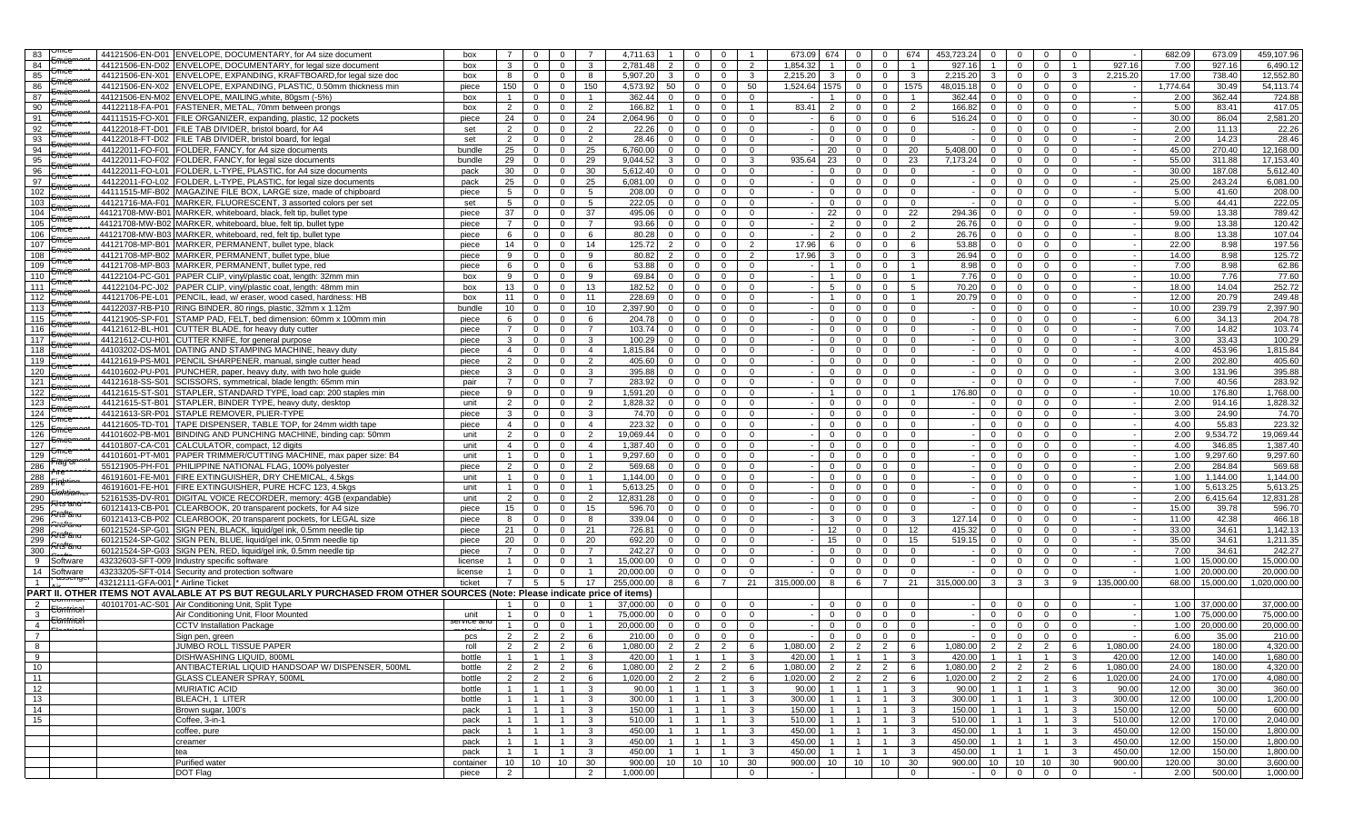| 83             |                         | 44121506-EN-D01 ENVELOPE, DOCUMENTARY, for A4 size document                                                               | box        | $\overline{7}$  | $\mathbf{0}$   | $\mathbf 0$    | $\overline{7}$          | 4,711.63   |                | $\mathbf 0$<br>$\mathbf{0}$      |                         | 673.09          | 674             | $\mathbf{0}$   | 674<br>453,723.24<br>$\overline{0}$                      | $\mathbf 0$    | $\overline{0}$ | $\mathbf 0$    | $\mathbf{0}$            |                          | 682.09   | 673.09    | 459,107.96   |
|----------------|-------------------------|---------------------------------------------------------------------------------------------------------------------------|------------|-----------------|----------------|----------------|-------------------------|------------|----------------|----------------------------------|-------------------------|-----------------|-----------------|----------------|----------------------------------------------------------|----------------|----------------|----------------|-------------------------|--------------------------|----------|-----------|--------------|
| 84             | <del>Jmce</del>         | 44121506-EN-D02 ENVELOPE, DOCUMENTARY, for legal size document                                                            | box        | $\mathbf{3}$    | $\mathbf{0}$   | $\mathbf{0}$   | 3                       | 2,781.48   | 2              | $\mathbf{0}$<br>$\overline{0}$   | $\overline{2}$          | 1.854.32        | $\overline{1}$  | $\overline{0}$ | $\overline{1}$<br>927.16<br>$\overline{0}$               | $\overline{1}$ | $\overline{0}$ | $\mathbf 0$    | $\overline{1}$          | 927.16                   | 7.00     | 927.16    | 6,490.12     |
|                | <del>Jîncê</del>        | 44121506-EN-X01 ENVELOPE, EXPANDING, KRAFTBOARD, for legal size doc                                                       | box        | 8               | $\mathbf{0}$   |                | 8                       | 5.907.20   |                | $\overline{0}$                   | $\mathbf{3}$            | 2.215.20        | $\mathbf{3}$    |                | $\mathbf{3}$<br>2.215.20                                 | $\mathbf{3}$   | $\mathbf{0}$   |                | $\overline{3}$          | 2.215.20                 | 17.00    | 738.40    | 12,552.80    |
| 85             | <del>Umċc</del>         | 44121506-EN-X02 ENVELOPE, EXPANDING, PLASTIC, 0.50mm thickness min                                                        |            |                 |                | $\mathbf{0}$   |                         |            | $\mathbf{3}$   | $^{\circ}$                       |                         |                 |                 | $\overline{0}$ | $\overline{0}$                                           |                |                | $\mathbf 0$    |                         |                          |          |           |              |
| 86             | <del>Umċe</del>         |                                                                                                                           | piece      | 150             | $\mathbf{0}$   | $\overline{0}$ | 150                     | 4,573.92   | 50             | $\overline{0}$<br>$\overline{0}$ | 50                      | 1,524.64 1575   |                 | $\overline{0}$ | 0 1575<br>48,015.18 0                                    |                | $\Omega$       | $\mathbf{0}$   | $\Omega$                | $\sim$ $-$               | 1,774.64 | 30.49     | 54,113.74    |
| 87             | Jilice                  | 44121506-EN-M02 ENVELOPE, MAILING, white, 80gsm (-5%)                                                                     | box        | $\overline{1}$  | $\mathbf{0}$   | $\overline{0}$ | $\overline{1}$          | 362.44     | $\overline{0}$ | $\overline{0}$<br>$\overline{0}$ | $\overline{0}$          | $\sim 100$      | $\overline{1}$  | $\overline{0}$ | $\overline{0}$<br>362.44 0<br>$\blacksquare$             |                | $\overline{0}$ | $\mathbf{0}$   | $\overline{0}$          |                          | 2.00     | 362.44    | 724.88       |
| 90             | <del>Jmüe</del>         | 44122118-FA-P01   FASTENER, METAL, 70mm between prongs                                                                    | box        | 2               | $\mathbf{0}$   | $\mathbf{0}$   | 2                       | 166.82     | $\overline{1}$ | $\mathbf 0$<br>$\mathbf{0}$      | $\overline{1}$          | 83.41           | 2               | $\overline{0}$ | $\overline{2}$<br>$\overline{0}$<br>166.82               | $\mathbf{0}$   | $\mathbf{0}$   | $\mathbf 0$    | $\mathbf{0}$            | $\overline{\phantom{a}}$ | 5.00     | 83.41     | 417.05       |
| 91             | <del>Jmice</del>        | 44111515-FO-X01   FILE ORGANIZER, expanding, plastic, 12 pockets                                                          | piece      | 24              | $\mathbf{0}$   | $\mathbf 0$    | 24                      | 2,064.96   | $\mathbf{0}$   | $\mathbf 0$<br>$\mathbf{0}$      | $\overline{0}$          | $\sim$ $-$      | 6               | $\mathbf 0$    | 6<br>516.24<br>$\mathbf{0}$                              | $\mathbf 0$    | $\mathbf 0$    | $\mathbf 0$    | $\mathbf{0}$            |                          | 30.00    | 86.04     | 2,581.20     |
| 92             | <del>Omëe</del>         | 44122018-FT-D01 FILE TAB DIVIDER, bristol board, for A4                                                                   | set        | 2               | $\mathbf{0}$   | $\overline{0}$ | 2                       | 22.26      | $\overline{0}$ | $\overline{0}$<br>$\mathbf 0$    | $\overline{0}$          |                 | $\overline{0}$  | $\overline{0}$ | $\mathbf{0}$<br>$\overline{0}$<br>$\sim$ 100 $\mu$       | $\mathbf 0$    | $\mathbf 0$    | $\mathbf 0$    | $\mathbf{0}$            | $\overline{\phantom{a}}$ | 2.00     | 11.13     | 22.26        |
| 93             | <del>Jmce</del>         | 44122018-FT-D02 FILE TAB DIVIDER, bristol board, for legal                                                                | set        | 2               | $\mathbf{0}$   | $\overline{0}$ | 2                       | 28.46      | $\Omega$       | $\overline{0}$<br>$\overline{0}$ | $\Omega$                | $\sim$          | $\Omega$        | $\overline{0}$ | $\Omega$<br>$\overline{0}$<br>$-1$                       | $\overline{0}$ | $\Omega$       | $\mathbf{0}$   | $\Omega$                | $\overline{\phantom{a}}$ | 2.00     | 14.23     | 28.46        |
| 94             |                         | 44122011-FO-F01   FOLDER, FANCY, for A4 size documents                                                                    | bundle     | 25              | $\mathbf{0}$   | $\overline{0}$ | 25                      | 6,760.00   | $\overline{0}$ | $\overline{0}$<br>$\mathbf 0$    | $\overline{0}$          |                 | 20              | $\overline{0}$ | 20<br>5.408.00<br>$\overline{0}$                         | $\overline{0}$ | $\mathbf{0}$   | $\mathbf 0$    | $\mathbf{0}$            | $\overline{\phantom{a}}$ | 45.00    | 270.40    | 12,168.00    |
| 95             | <del>Umće</del>         | 44122011-FO-F02   FOLDER, FANCY, for legal size documents                                                                 | bundle     | 29              | $\overline{0}$ | $\overline{0}$ | 29                      | 9,044.52   | $\mathbf{3}$   | $\mathbf 0$<br>$\overline{0}$    | $\mathbf{3}$            | 935.64          | 23              | $\overline{0}$ | 7,173.24<br>$\overline{0}$<br>23                         | $\mathbf 0$    | $\overline{0}$ | $\mathbf 0$    | $\mathbf{0}$            |                          | 55.00    | 311.88    | 17,153.40    |
| 96             | <del>Umde</del>         | 44122011-FO-L01   FOLDER, L-TYPE, PLASTIC, for A4 size documents                                                          | pack       | 30              | $\mathbf{0}$   | $\overline{0}$ | 30                      | 5,612.40   | $\overline{0}$ | $\mathbf 0$<br>$\overline{0}$    | $\overline{0}$          |                 | $\overline{0}$  | $\overline{0}$ | $\overline{0}$<br>$\overline{0}$                         | $\mathbf{0}$   | $\mathbf 0$    | $\mathbf 0$    | $\mathbf{0}$            |                          | 30.00    | 187.08    | 5,612.40     |
| 97             | <del>Jmice</del>        | 44122011-FO-L02   FOLDER, L-TYPE, PLASTIC, for legal size documents                                                       | pack       | 25              | $\mathbf 0$    | $\overline{0}$ | 25                      | 6.081.00   | $\mathbf{0}$   | $\mathbf{0}$<br>$\mathbf{0}$     | $\mathbf{0}$            |                 | $\overline{0}$  | $\mathbf{0}$   | $\mathbf{0}$<br>$\overline{0}$                           | $\mathbf{0}$   | $\mathbf{0}$   | $\mathbf 0$    | $\mathbf{0}$            |                          | 25.00    | 243.24    | 6,081.00     |
| 102            | Umite                   | 44111515-MF-B02 MAGAZINE FILE BOX, LARGE size, made of chipboard                                                          | piece      | 5 <sup>5</sup>  | $\overline{0}$ | $\overline{0}$ | 5                       | 208.00     | $\overline{0}$ | $\overline{0}$<br>$\overline{0}$ | $\overline{0}$          |                 | $\overline{0}$  | $\overline{0}$ | $\overline{0}$<br>$\overline{0}$                         | $\mathbf{0}$   | $\Omega$       | $\mathbf{0}$   | $\mathbf{0}$            |                          | 5.00     | 41.60     | 208.00       |
| 103            | <del>Omċe</del>         | 44121716-MA-F01 MARKER, FLUORESCENT, 3 assorted colors per set                                                            | set        | 5 <sup>5</sup>  | $\overline{0}$ | $\overline{0}$ | 5 <sup>5</sup>          | 222.05     | $\overline{0}$ | $\overline{0}$<br>$\overline{0}$ | $\overline{0}$          |                 | $\overline{0}$  | $\overline{0}$ | $\overline{0}$<br>$\mathbf{0}$                           | $\mathbf{0}$   | $\mathbf 0$    | $\mathbf 0$    | $\mathbf{0}$            |                          | 5.00     | 44.41     | 222.05       |
| 104            | Ūππά                    | 44121708-MW-B01 MARKER, whiteboard, black, felt tip, bullet type                                                          | piece      | 37              | $\overline{0}$ | $\overline{0}$ | 37                      | 495.06     | $\overline{0}$ | $\overline{0}$<br>$\overline{0}$ | $\overline{0}$          |                 | 22              | $\mathbf{0}$   | 22<br>$\overline{0}$<br>294.36                           | $\mathbf{0}$   | $\mathbf{0}$   | $\mathbf{0}$   | $\mathbf{0}$            |                          | 59.00    | 13.38     | 789.42       |
| 105            | <del>Omce</del>         | 44121708-MW-B02 MARKER, whiteboard, blue, felt tip, bullet type                                                           | piece      | $7^{\circ}$     | $\mathbf{0}$   | $\overline{0}$ | $\overline{7}$          | 93.66      | $\mathbf{0}$   | $\mathbf{0}$<br>$\mathbf{0}$     | $\overline{0}$          |                 | 2               | $\overline{0}$ | 26.76<br>$\overline{0}$<br>2                             | $\mathbf{0}$   | $\mathbf 0$    | $\mathbf 0$    | $\mathbf{0}$            |                          | 9.00     | 13.38     | 120.42       |
| 106            | <del>Grïiċe</del>       | 44121708-MW-B03 MARKER, whiteboard, red, felt tip, bullet type                                                            | piece      | 6               | $\overline{0}$ | $\overline{0}$ | 6                       | 80.28      | $\overline{0}$ | $\mathbf 0$<br>$\overline{0}$    | $\overline{0}$          |                 | $\overline{2}$  | $\overline{0}$ | 2<br>26.76<br>$\overline{0}$                             | $\mathbf 0$    | $\mathbf 0$    | $\mathbf 0$    | $\mathbf{0}$            |                          | 8.00     | 13.38     | 107.04       |
| 107            | Umite                   | 44121708-MP-B01 MARKER, PERMANENT, bullet type, black                                                                     | piece      | 14              | $\overline{0}$ | $\overline{0}$ | 14                      | 125.72     | 2              | $\overline{0}$<br>$\overline{0}$ | $\overline{2}$          | 17.96           | 6               | $\overline{0}$ | $\Omega$<br>6<br>53.88                                   | $\mathbf{0}$   | $\overline{0}$ | $\mathbf{0}$   | $\Omega$                |                          | 22.00    | 8.98      | 197.56       |
| 108            | <del>Jmce</del>         | 44121708-MP-B02 MARKER, PERMANENT, bullet type, blue                                                                      | piece      | 9               | $\mathbf{0}$   | $\overline{0}$ | 9                       | 80.82      | 2              | $\mathbf 0$<br>$\overline{0}$    | $\overline{2}$          | 17.96           | $\mathbf{3}$    | $\overline{0}$ | $\overline{\mathbf{3}}$<br>26.94<br>$\mathbf{O}$         | $\overline{0}$ | $\mathbf{0}$   | $\mathbf 0$    | $\mathbf{0}$            |                          | 14.00    | 8.98      | 125.72       |
| 109            | <del>Umċe</del>         | 44121708-MP-B03 MARKER, PERMANENT, bullet type, red                                                                       | piece      | 6               | $\overline{0}$ | $\overline{0}$ | 6                       | 53.88      | $\overline{0}$ | $\overline{0}$<br>$\overline{0}$ | $\overline{0}$          | $\sim$          | $\overline{1}$  | $\overline{0}$ | 8.98<br>$\overline{0}$<br>$\overline{1}$                 | $\overline{0}$ | $\overline{0}$ | $\mathbf 0$    | $\mathbf{0}$            | $\sim$                   | 7.00     | 8.98      | 62.86        |
| 110            | <del>Omce</del>         | 44122104-PC-G01 PAPER CLIP, vinyl/plastic coat, length: 32mm min                                                          | box        | 9               | $\overline{0}$ | $\overline{0}$ | 9                       | 69.84      | $\overline{0}$ | $\overline{0}$<br>$\overline{0}$ | $\overline{0}$          |                 | $\overline{1}$  | $\overline{0}$ | $\overline{0}$<br>$\overline{1}$<br>7.76                 | $\mathbf{0}$   | $\overline{0}$ | $\overline{0}$ | $\mathbf{0}$            |                          | 10.00    | 7.76      | 77.60        |
|                | <del>Jîlitê</del>       |                                                                                                                           |            |                 |                |                | 13                      | 182.52     |                |                                  |                         |                 |                 |                | 70.20                                                    |                |                |                |                         |                          | 18.00    | 14.04     |              |
| 111            | <del>Umëe</del>         | 44122104-PC-J02   PAPER CLIP, vinyl/plastic coat, length: 48mm min                                                        | box        | 13              | $\mathbf{0}$   | $\overline{0}$ |                         |            | $\mathbf{0}$   | $\mathbf 0$<br>$\overline{0}$    | $\overline{0}$          |                 | $5\overline{5}$ | $\mathbf{0}$   | 5 <sup>5</sup><br>$\overline{0}$                         | $\mathbf 0$    | $\mathbf 0$    | $\mathbf 0$    | $\mathbf{0}$            |                          |          |           | 252.72       |
| 112            |                         | 44121706-PE-L01   PENCIL, lead, w/ eraser, wood cased, hardness: HB                                                       | box        | 11              | $\overline{0}$ | $\overline{0}$ | 11                      | 228.69     | $\overline{0}$ | $\overline{0}$<br>$\overline{0}$ | $\overline{0}$          |                 | $\overline{1}$  | $\mathbf{0}$   | $\mathbf{0}$<br>$\overline{1}$<br>20.79                  | $\overline{0}$ | $\overline{0}$ | $\mathbf{0}$   | $\mathbf{0}$            |                          | 12.00    | 20.79     | 249.48       |
| 113            |                         | 44122037-RB-P10 RING BINDER, 80 rings, plastic, 32mm x 1.12m                                                              | bundle     | 10              | $\mathbf{0}$   | $\mathbf 0$    | 10                      | 2,397.90   | $\overline{0}$ | $\mathbf{0}$<br>$\overline{0}$   | $\overline{0}$          |                 | $\overline{0}$  | $\mathbf{0}$   | $\mathbf{0}$<br>$\mathbf{0}$<br>$\sim$                   | $\mathbf{0}$   | $\overline{0}$ | $\mathbf 0$    | $\mathbf{0}$            |                          | 10.00    | 239.79    | 2,397.90     |
| 115            | Omce                    | 44121905-SP-F01 STAMP PAD. FELT, bed dimension: 60mm x 100mm min                                                          | piece      | 6               | $\mathbf{0}$   | $\mathbf{0}$   | 6                       | 204.78     | $\overline{0}$ | $\mathbf 0$<br>$\overline{0}$    | $\overline{0}$          |                 | $\overline{0}$  | $\overline{0}$ | $\overline{0}$<br>$\mathbf{0}$                           | $\mathbf{0}$   | $\mathbf 0$    | $\mathbf 0$    | $\mathbf{0}$            | $\sim$                   | 6.00     | 34.13     | 204.78       |
| 116            | <del>5mice</del>        | 44121612-BL-H01 CUTTER BLADE, for heavy duty cutter                                                                       | piece      | $7\overline{ }$ | $\mathbf{0}$   | $\overline{0}$ | $\overline{7}$          | 103.74     | $\mathbf{0}$   | $\mathbf{0}$<br>$\overline{0}$   | $\overline{0}$          |                 | $\overline{0}$  | $\overline{0}$ | $\overline{0}$<br>$\overline{0}$                         | $\mathbf{0}$   | $\overline{0}$ | $\mathbf 0$    | $\mathbf{0}$            |                          | 7.00     | 14.82     | 103.74       |
| 117            | <del>Umëe</del>         | 44121612-CU-H01 CUTTER KNIFE, for general purpose                                                                         | piece      | 3 <sup>3</sup>  | $\mathbf{0}$   | $\mathbf 0$    | $\mathbf{3}$            | 100.29     | $\overline{0}$ | $\overline{0}$<br>$\mathbf{0}$   | $\overline{0}$          |                 | $\overline{0}$  | $\mathbf{0}$   | $\mathbf{0}$<br>$\overline{0}$                           | $\mathbf 0$    | $\overline{0}$ | $\mathbf 0$    | $\mathbf{0}$            | $\overline{\phantom{a}}$ | 3.00     | 33.43     | 100.29       |
| 118            | ⊃mćt                    | 44103202-DS-M01 DATING AND STAMPING MACHINE, heavy duty                                                                   | piece      | $\overline{4}$  | $\mathbf{0}$   | $\overline{0}$ | $\overline{4}$          | 1,815.84   | $\Omega$       | $\mathbf{0}$<br>$\Omega$         | $\overline{0}$          |                 | $\overline{0}$  | $\mathbf{0}$   | $\Omega$<br>$\mathbf{0}$                                 | $\mathbf{0}$   | $\overline{0}$ | $\mathbf 0$    | $\Omega$                |                          | 4.00     | 453.96    | 1,815.84     |
| 119            | <del>Omċe</del>         | 44121619-PS-M01 PENCIL SHARPENER, manual, single cutter head                                                              | piece      | 2               | $\mathbf{0}$   | $\mathbf 0$    | 2                       | 405.60     | $\mathbf{0}$   | $\mathbf 0$<br>$\overline{0}$    | $\overline{0}$          |                 | $\overline{0}$  | $\mathbf 0$    | $\mathbf{0}$<br>$\overline{0}$                           | $\mathbf{0}$   | $\overline{0}$ | $\mathbf 0$    | $\mathbf{0}$            |                          | 2.00     | 202.80    | 405.60       |
| 120            | Omce                    | 44101602-PU-P01 PUNCHER, paper, heavy duty, with two hole guide                                                           | piece      | $\mathbf{3}$    | $\mathbf{0}$   | $\overline{0}$ | $\mathbf{3}$            | 395.88     | $\overline{0}$ | $\mathbf 0$<br>$\mathbf{0}$      | $\mathbf{0}$            |                 | $\mathbf{0}$    | $\mathbf{0}$   | $\overline{0}$<br>$\mathbf{0}$                           | $\mathbf{0}$   | $\mathbf 0$    | $\mathbf 0$    | $\mathbf{0}$            |                          | 3.00     | 131.96    | 395.88       |
| 121            |                         | 44121618-SS-S01 SCISSORS, symmetrical, blade length: 65mm min                                                             | pair       | $7^{\circ}$     | $\mathbf{0}$   | $\overline{0}$ | $\overline{7}$          | 283.92     | $\overline{0}$ | $\mathbf{0}$<br>$\mathbf{0}$     | $\overline{0}$          |                 | $\overline{0}$  | $\overline{0}$ | $\overline{0}$<br>$\overline{0}$                         | $\mathbf{0}$   | $\overline{0}$ | $\mathbf{0}$   | $\mathbf{0}$            |                          | 7.00     | 40.56     | 283.92       |
| 122            | تتشت                    | 44121615-ST-S01 STAPLER, STANDARD TYPE, load cap: 200 staples min                                                         | piece      | 9               | $\mathbf{0}$   | $\mathbf{0}$   | 9                       | 1.591.20   | $\mathbf{0}$   | $\overline{0}$<br>$\mathbf{0}$   | $\overline{0}$          |                 | $\overline{1}$  | $\mathbf{0}$   | 176.80<br>$\overline{0}$<br>$\overline{1}$               | $\mathbf{0}$   | $\mathbf{0}$   | $\mathbf{0}$   | $\mathbf{0}$            |                          | 10.00    | 176.80    | 1,768.00     |
| 123            |                         | 44121615-ST-B01 STAPLER, BINDER TYPE, heavy duty, desktop                                                                 | unit       | 2               | $\mathbf{0}$   | $\overline{0}$ | 2                       | 1,828.32   | $\overline{0}$ | $\overline{0}$<br>$\overline{0}$ | $\overline{0}$          |                 | $\overline{0}$  | $\mathbf{0}$   | $\mathbf{0}$<br>$\overline{0}$<br>$\sim$                 | $\mathbf{0}$   | $\overline{0}$ | $\mathbf{0}$   | $\Omega$                |                          | 2.00     | 914.16    | 1,828.32     |
| 124            |                         | 44121613-SR-P01 STAPLE REMOVER, PLIER-TYPE                                                                                | piece      | $\mathbf{3}$    | $\mathbf{0}$   | $\overline{0}$ | $\mathbf{3}$            | 74.70      | $\overline{0}$ | $\mathbf{0}$<br>$\overline{0}$   | $\overline{0}$          |                 | $\overline{0}$  | $\overline{0}$ | $\mathbf{0}$<br>$\overline{0}$                           | $\mathbf{0}$   | $\overline{0}$ | $\mathbf 0$    | $\mathbf{0}$            |                          | 3.00     | 24.90     | 74.70        |
| 125            |                         | 44121605-TD-T01   TAPE DISPENSER, TABLE TOP, for 24mm width tape                                                          | piece      | $\overline{4}$  | $\mathbf{0}$   | $\mathbf{0}$   | $\overline{4}$          | 223.32     | $\overline{0}$ | $\mathbf 0$<br>$\mathbf{0}$      | $\mathbf{0}$            |                 | $\overline{0}$  | $\mathbf 0$    | $\mathbf{0}$<br>$\mathbf{0}$                             | $\mathbf{0}$   | $\overline{0}$ | $\mathbf{0}$   | $\mathbf{0}$            | $\overline{\phantom{a}}$ | 4.00     | 55.83     | 223.32       |
| 126            |                         | 44101602-PB-M01   BINDING AND PUNCHING MACHINE, binding cap: 50mm                                                         | unit       | 2               | $\mathbf{0}$   | $\mathbf 0$    | 2                       | 19,069.44  | $\mathbf{0}$   | $\mathbf 0$<br>$\mathbf{0}$      | $\overline{0}$          |                 | $\overline{0}$  | $\Omega$       | $\mathbf{0}$<br>$\mathbf{0}$                             | $\Omega$       | $\Omega$       | $\Omega$       | $\mathbf{0}$            |                          | 2.00     | 9,534.72  | 19,069.44    |
| 127            | <del>5möε</del>         | 44101807-CA-C01 CALCULATOR, compact, 12 digits                                                                            | unit       | $\overline{4}$  | $\mathbf{0}$   | $\mathbf{0}$   | $\overline{4}$          | 1,387.40   | $\overline{0}$ | $\mathbf 0$<br>$\mathbf{0}$      | $\mathbf 0$             |                 | $\overline{0}$  | $\mathbf{0}$   | $\overline{0}$<br>$\mathbf 0$                            | $\mathbf{0}$   | $\mathbf{0}$   | $\mathbf 0$    | $\mathbf{0}$            | $\sim$                   | 4.00     | 346.85    | 1,387.40     |
| 129            |                         | 44101601-PT-M01 PAPER TRIMMER/CUTTING MACHINE, max paper size: B4                                                         | unit       | $\mathbf{1}$    | $\mathbf{0}$   | $\overline{0}$ | $\overline{1}$          | 9,297.60   | $\Omega$       | $\mathbf{0}$<br>$\overline{0}$   | $\overline{0}$          |                 | $\Omega$        | $\Omega$       | $\Omega$<br>$\overline{0}$                               | $\Omega$       | $\Omega$       | $\mathbf{0}$   | $\Omega$                | $\overline{\phantom{a}}$ | 1.00     | 9,297.60  | 9,297.60     |
| 286            | Fragʻ                   | 55121905-PH-F01 PHILIPPINE NATIONAL FLAG, 100% polyester                                                                  | piece      | 2               | $\mathbf{0}$   | $\overline{0}$ | 2                       | 569.68     | $\overline{0}$ | $\overline{0}$<br>$\overline{0}$ | $\overline{0}$          |                 | $\overline{0}$  | $\mathbf{0}$   | $\overline{0}$<br>$\overline{0}$                         | $\mathbf{0}$   | $\overline{0}$ | $\mathbf 0$    | $\mathbf{0}$            | $\sim$                   | 2.00     | 284.84    | 569.68       |
| 288            | <del>° re</del>         | 46191601-FE-M01 FIRE EXTINGUISHER, DRY CHEMICAL, 4.5kgs                                                                   | unit       | $\overline{1}$  | $\mathbf{0}$   | $\overline{0}$ | $\mathbf{1}$            | 1,144.00   | $\overline{0}$ | $\mathbf 0$<br>$\mathbf{0}$      | $\mathbf{0}$            |                 | $\mathbf{0}$    | $\mathbf{0}$   | $\mathbf{0}$<br>$\overline{0}$                           | $\mathbf{0}$   | $\overline{0}$ | $\mathbf{0}$   | $\mathbf{0}$            | $\sim$                   | 1.00     | 1,144.00  | 1,144.00     |
| 289            | Fire                    | 46191601-FE-H01 FIRE EXTINGUISHER, PURE HCFC 123, 4.5kgs                                                                  | unit       | $\mathbf{1}$    | $\mathbf 0$    | $\overline{0}$ | $\overline{1}$          | 5,613.25   | $\overline{0}$ | $\mathbf 0$<br>$\mathbf{0}$      | $\overline{0}$          |                 | $\overline{0}$  | $\mathbf 0$    | $\overline{0}$<br>$\mathbf 0$                            | $\mathbf{0}$   | $\overline{0}$ | $\mathbf 0$    | $\mathbf{0}$            |                          | 1.00     | 5,613.25  | 5,613.25     |
| 290            | <del>Cohsiar</del>      | 52161535-DV-R01 DIGITAL VOICE RECORDER, memory: 4GB (expandable)                                                          | unit       | $\overline{2}$  | $\mathbf{0}$   | $\mathbf{0}$   | $\overline{2}$          | 12,831.28  | $\mathbf{0}$   | $\mathbf 0$<br>$\mathbf{0}$      | $\mathbf 0$             |                 | $\overline{0}$  | $\mathbf 0$    | $\overline{0}$<br>$\overline{0}$                         | $\Omega$       | $\mathbf{0}$   | $\mathbf 0$    | $\mathbf{0}$            | $\sim$                   | 2.00     | 6,415.64  | 12,831.28    |
| 295            | <del>Filîs'anc</del>    | 60121413-CB-P01 CLEARBOOK, 20 transparent pockets, for A4 size                                                            | piece      | 15              | $\overline{0}$ | $\overline{0}$ | 15                      | 596.70     | $\overline{0}$ | $\overline{0}$<br>$\overline{0}$ | $\overline{0}$          | $\sim$ $\sim$   | $\overline{0}$  | $\mathbf{0}$   | $\overline{0}$<br>$\mathbf{0}$                           | $\mathbf{0}$   | $\overline{0}$ | $\mathbf{0}$   | $\Omega$                | $\sim$                   | 15.00    | 39.78     | 596.70       |
| 296            | <del>Arts"an</del>      | 60121413-CB-P02 CLEARBOOK, 20 transparent pockets, for LEGAL size                                                         | piece      | 8               | $\overline{0}$ | $\overline{0}$ | 8                       | 339.04     | $\overline{0}$ | $\mathbf{0}$<br>$\overline{0}$   | $\overline{0}$          |                 | $\mathbf{3}$    | $\mathbf{0}$   | $\mathbf{3}$<br>127.14<br>$\overline{0}$                 | $\overline{0}$ | $\overline{0}$ | $\mathbf{0}$   | $\Omega$                |                          | 11.00    | 42.38     | 466.18       |
| 298            | <del>Arts"an</del>      | 60121524-SP-G01 SIGN PEN, BLACK, liquid/gel ink, 0.5mm needle tip                                                         | piece      | 21              | $\mathbf{0}$   | $\overline{0}$ | 21                      | 726.81     | $\overline{0}$ | $\mathbf 0$<br>$\overline{0}$    | $\overline{0}$          | $\sim$          | 12              | $\overline{0}$ | $\overline{0}$<br>12<br>415.32                           | $\mathbf{0}$   | $\mathbf{0}$   | $\mathbf{0}$   | $\mathbf{0}$            | $\sim$                   | 33.00    | 34.61     | 1,142.13     |
| 299            | ਸਿੰਨਿ"am                | 60121524-SP-G02 SIGN PEN, BLUE, liquid/gel ink, 0.5mm needle tip                                                          | piece      | 20              | $\mathbf{0}$   | $\mathbf 0$    | 20                      | 692.20     | $\mathbf{0}$   | $\mathbf 0$<br>$\mathbf{0}$      | $\overline{0}$          |                 | 15              | $\overline{0}$ | 15<br>$\overline{0}$<br>519.15                           | $\mathbf 0$    | $\mathbf 0$    | $\mathbf 0$    | $\mathbf{0}$            |                          | 35.00    | 34.61     | 1,211.35     |
| 300            | <del>Ar̃iS"am</del>     | 60121524-SP-G03 SIGN PEN, RED, liquid/gel ink, 0.5mm needle tip                                                           | piece      | $\overline{7}$  | $\mathbf 0$    | $\mathbf 0$    | $\overline{7}$          | 242.27     | $\overline{0}$ | $\overline{0}$<br>$\mathbf{0}$   | $\overline{0}$          |                 | $\overline{0}$  | $\overline{0}$ | $\overline{0}$<br>$\overline{0}$                         | $\mathbf{0}$   | $\mathbf 0$    | $\mathsf 0$    | $\mathbf{0}$            | $\overline{\phantom{a}}$ | 7.00     | 34.61     | 242.27       |
| 9              | Software                | 43232603-SFT-009 Industry specific software                                                                               | license    | $\overline{1}$  | $\mathbf{0}$   | $\overline{0}$ | $\overline{1}$          | 15,000.00  | $\overline{0}$ | $\overline{0}$<br>$\Omega$       | $\overline{0}$          | $\sim$          | $\Omega$        | $\overline{0}$ | $\overline{0}$<br>$\overline{0}$<br>$-1$                 | $\Omega$       | $\Omega$       | $\overline{0}$ | $\Omega$                |                          | 1.00     | 15,000.00 | 15,000.00    |
| 14             | Software                | 43233205-SFT-014 Security and protection software                                                                         | license    | $\overline{1}$  | $\mathbf{0}$   | $\overline{0}$ | $\overline{1}$          | 20.000.00  | $\overline{0}$ | $\mathbf{0}$<br>$\overline{0}$   | $\overline{0}$          |                 | $\overline{0}$  | $\overline{0}$ | $\overline{0}$<br>$\overline{0}$                         | $\mathbf{0}$   | $\overline{0}$ | $\mathbf 0$    | $\Omega$                |                          | 1.00     | 20,000.00 | 20,000.00    |
|                |                         | 43212111-GFA-001 * Airline Ticket                                                                                         | ticket     | $\overline{7}$  | $5^{\circ}$    | 5 <sup>5</sup> | 17                      | 255,000.00 |                | 8 6<br>$7^{\circ}$               | 21                      | 315,000.00 8    |                 | 6              | $\overline{7}$<br>21 315,000,00 3 3                      |                |                | $\overline{3}$ | 9                       | 135.000.00               | 68.00    | 15,000.00 | 1.020.000.00 |
|                |                         | PART II. OTHER ITEMS NOT AVALABLE AT PS BUT REGULARLY PURCHASED FROM OTHER SOURCES (Note: Please indicate price of items) |            |                 |                |                |                         |            |                |                                  |                         |                 |                 |                |                                                          |                |                |                |                         |                          |          |           |              |
| 2              |                         | 40101701-AC-S01   Air Conditioning Unit, Split Type                                                                       |            | $\overline{1}$  | $\mathbf{0}$   | $\mathbf 0$    | $\overline{1}$          | 37,000.00  | $\overline{0}$ | $\overline{0}$<br>$^{\circ}$     | $\overline{0}$          |                 | $\overline{0}$  | $\overline{0}$ | $\overline{0}$<br>$\overline{0}$                         | $\overline{0}$ | $\overline{0}$ | $\mathbf{0}$   | $\overline{0}$          |                          | 1.00     | 37,000.00 | 37,000.00    |
| $\mathbf{3}$   |                         | Air Conditioning Unit, Floor Mounted                                                                                      | unit       | $\overline{1}$  | $\mathbf{0}$   | $\mathbf{0}$   | $\overline{1}$          | 75,000.00  | $\overline{0}$ | $\mathbf{0}$<br>$\overline{0}$   | $\overline{0}$          |                 | $\overline{0}$  | $\overline{0}$ | $\overline{0}$<br>$\overline{0}$                         | $\mathbf{0}$   | $\mathbf{0}$   | $\mathbf 0$    | $\mathbf{0}$            |                          | 1.00     | 75,000.00 | 75,000.00    |
| $\overline{4}$ | <del>Clantriron I</del> | <b>CCTV</b> Installation Package                                                                                          | service ar | $\mathbf{1}$    | $\mathbf{0}$   | $\overline{0}$ | $\overline{1}$          | 20,000.00  | $\overline{0}$ | $\overline{0}$<br>$\overline{0}$ | $\overline{0}$          |                 | $\overline{0}$  | $\overline{0}$ | $\overline{0}$<br>$\overline{0}$                         | $\mathbf{0}$   | $\overline{0}$ | $\overline{0}$ | $\mathbf{0}$            |                          | 1.00     | 20,000.00 | 20,000.00    |
| $\overline{7}$ |                         |                                                                                                                           |            | 2               | 2              | $\overline{2}$ | 6                       | 210.00     | $\overline{0}$ | $\overline{0}$<br>$\overline{0}$ | $\overline{0}$          |                 | $\overline{0}$  | $\overline{0}$ | $\overline{0}$<br>$\mathbf{0}$                           | $\mathbf{0}$   | $\mathbf 0$    | $\mathbf 0$    | $\mathbf{0}$            |                          | 6.00     | 35.00     | 210.00       |
| 8              |                         | Sign pen, green<br><b>JUMBO ROLL TISSUE PAPER</b>                                                                         | pcs        | 2               |                |                | 6                       | 1,080.00   | 2              | 2<br>$2^{\circ}$                 |                         |                 | $\overline{2}$  |                | $\overline{2}$<br>$1,080.00$ 2 2                         |                |                |                |                         | 1,080.00                 | 24.00    | 180.00    | 4,320.00     |
|                |                         |                                                                                                                           | roll       |                 | $\overline{2}$ | $\overline{2}$ |                         |            |                |                                  | 6                       | 1,080.00        | $\overline{1}$  | $\overline{2}$ | 6                                                        |                |                | $\overline{2}$ | 6                       |                          |          |           |              |
| 9              |                         | DISHWASHING LIQUID, 800ML                                                                                                 | bottle     | $\overline{1}$  | $\overline{1}$ | $\overline{1}$ | $\mathbf{3}$            | 420.00     |                | $1 \quad 1$                      | $\mathbf{3}$            | 420.00          |                 | $\overline{1}$ | $\mathbf{3}$<br>$420.00$ 1 1                             |                |                | $\overline{1}$ | $\mathbf{3}$            | 420.00                   | 12.00    | 140.00    | 1,680.00     |
| 10             |                         | ANTIBACTERIAL LIQUID HANDSOAP W/ DISPENSER, 500ML                                                                         | bottle     | $\overline{2}$  | $\overline{2}$ | $\overline{2}$ | 6                       | 1,080.00   | $\overline{2}$ | $\overline{2}$<br>$\overline{2}$ | 6                       | 1,080.00        | $2 \mid$        | $\overline{2}$ | $\overline{2}$<br>6<br>$1,080.00$ 2 2                    |                |                | $\overline{2}$ | 6                       | 1,080.00                 | 24.00    | 180.00    | 4,320.00     |
| 11             |                         | <b>GLASS CLEANER SPRAY, 500ML</b>                                                                                         | bottle     | 2               | 2              | $\overline{2}$ | 6                       | 1,020.00   | 2              | $\overline{2}$<br>$2^{\circ}$    | 6                       | $1,020.00$ 2 2  |                 |                | 2<br>$1,020.00$ 2 2<br>6                                 |                |                | $\overline{2}$ | 6                       | 1,020.00                 | 24.00    | 170.00    | 4,080.00     |
| 12             |                         | <b>MURIATIC ACID</b>                                                                                                      | bottle     | 1               | $\overline{1}$ | $\overline{1}$ | $\overline{\mathbf{3}}$ | 90.00      | $\overline{1}$ | $\overline{1}$<br>$\overline{1}$ | $\mathbf{3}$            | 90.00           |                 | $1 \mid 1$     | $90.00$ 1 1<br>$\overline{1}$<br>$\overline{\mathbf{3}}$ |                |                | $\overline{1}$ | $\overline{\mathbf{3}}$ | 90.00                    | 12.00    | 30.00     | 360.00       |
| 13             |                         | BLEACH, 1 LITER                                                                                                           | bottle     | 1               | $\overline{1}$ | $\overline{1}$ | 3 <sup>3</sup>          | 300.00     | $\overline{1}$ | 1<br>$\overline{1}$              | $\overline{\mathbf{3}}$ | 300.00          |                 | $1 \mid 1$     | $300.00$ 1 1<br>$\mathbf{3}$<br>$\overline{1}$           |                |                | $\overline{1}$ | $\mathbf{3}$            | 300.00                   | 12.00    | 100.00    | 1,200.00     |
| 14             |                         | Brown sugar, 100's                                                                                                        | pack       | $\overline{1}$  | $\overline{1}$ | $\overline{1}$ | $\overline{\mathbf{3}}$ | 150.00     | $\overline{1}$ | $\overline{1}$<br>$\overline{1}$ | $\overline{\mathbf{3}}$ | 150.00          | $\overline{1}$  | $\overline{1}$ | 3 <sup>3</sup><br>$150.00$ 1 1<br>$\overline{1}$         |                |                | $\overline{1}$ | $\mathbf{3}$            | 150.00                   | 12.00    | 50.00     | 600.00       |
| 15             |                         | Coffee, 3-in-1                                                                                                            | pack       | 1               | $\overline{1}$ | $\overline{1}$ | $\mathbf{3}$            | 510.00     | $\overline{1}$ | $\overline{1}$<br>$\overline{1}$ | $\mathbf{3}$            | 510.00          | $\overline{1}$  | $\overline{1}$ | 3 <sup>3</sup><br>$510.00$ 1 1<br>$\overline{1}$         |                |                | $\overline{1}$ | $\overline{\mathbf{3}}$ | 510.00                   | 12.00    | 170.00    | 2,040.00     |
|                |                         | coffee, pure                                                                                                              | pack       | 1               | $\overline{1}$ | $\overline{1}$ | $\mathbf{3}$            | 450.00     | $\overline{1}$ | $\overline{1}$<br>$\sim$ 1       | $\mathbf{3}$            | 450.00          |                 | $1 \mid 1$     | 450.00 1 1<br>$\overline{1}$<br>$\mathbf{3}$             |                |                | $\overline{1}$ | $\overline{\mathbf{3}}$ | 450.00                   | 12.00    | 150.00    | 1,800.00     |
|                |                         | creamer                                                                                                                   | pack       | $\overline{1}$  | $\overline{1}$ | $\overline{1}$ | $\overline{\mathbf{3}}$ | 450.00     | $\overline{1}$ | $\overline{1}$<br>$\overline{1}$ | $\overline{\mathbf{3}}$ | 450.00          | $\overline{1}$  | $-1$           | 450.00 1 1<br>$\mathbf{3}$<br>$\overline{1}$             |                |                | $\overline{1}$ | $\overline{\mathbf{3}}$ | 450.00                   | 12.00    | 150.00    | 1,800.00     |
|                |                         | tea                                                                                                                       | pack       | 1               | $\overline{1}$ | $\overline{1}$ | 3 <sup>3</sup>          | 450.00     | $\overline{1}$ | $\overline{1}$<br>$\sim$ 1       | $\mathbf{3}$            | 450.00 1        |                 | $\overline{1}$ | 3 <sup>3</sup><br>450.00 1 1<br>$\overline{1}$           |                |                | $\blacksquare$ | $\mathbf{3}$            | 450.00                   | 12.00    | 150.00    | 1,800.00     |
|                |                         | Purified water                                                                                                            | container  | 10              | 10             | 10             | 30                      |            |                | 900.00 10 10<br>10               | 30                      | 900.00 10 10 10 |                 |                | 30<br>$900.00$ 10 10 10 10                               |                |                |                | 30                      | 900.00                   | 120.00   | 30.00     | 3,600.00     |
|                |                         | DOT Flag                                                                                                                  | piece      | 2               |                |                | 2                       | 1,000.00   |                |                                  | $\mathbf{0}$            | $\sim$          |                 |                | $\overline{0}$                                           | $-$ 0 0        |                | $\overline{0}$ | $\overline{0}$          | $\sim$                   | 2.00     | 500.00    | 1,000.00     |